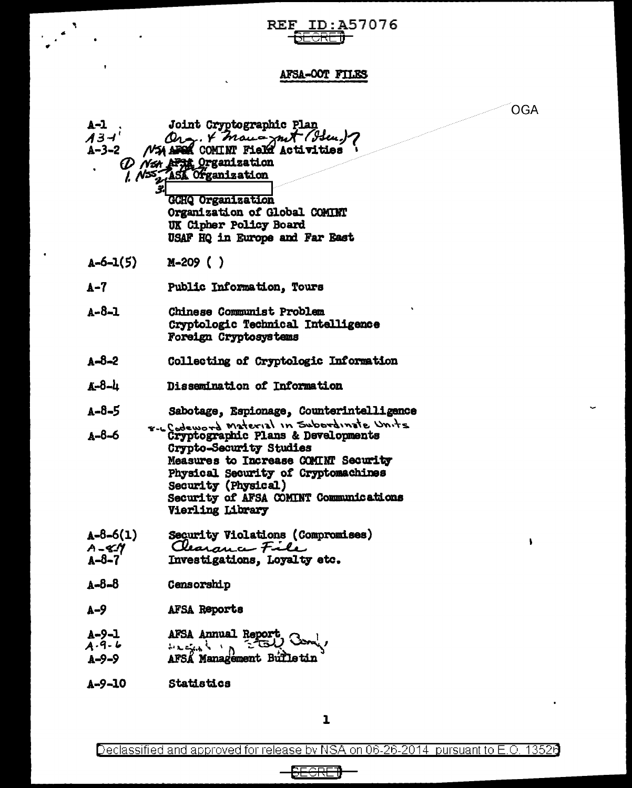## REF ID:A57076

 $\label{eq:2} \frac{1}{\sqrt{2}}\sum_{i=1}^{N} \frac{1}{\sqrt{2}}\sum_{i=1}^{N} \frac{1}{\sqrt{2}}\sum_{i=1}^{N} \frac{1}{\sqrt{2}}\sum_{i=1}^{N} \frac{1}{\sqrt{2}}\sum_{i=1}^{N} \frac{1}{\sqrt{2}}\sum_{i=1}^{N} \frac{1}{\sqrt{2}}\sum_{i=1}^{N} \frac{1}{\sqrt{2}}\sum_{i=1}^{N} \frac{1}{\sqrt{2}}\sum_{i=1}^{N} \frac{1}{\sqrt{2}}\sum_{i=1}^{N} \frac{1}{\sqrt{2}}\sum_{$ 

 $\mathbf{r}$ 

**Contract Contract** 

 $\ddot{\phantom{a}}$ 

## AFSA-OOT FILES

OGA

 $\pmb{\mathsf{h}}$ 

 $\bullet$ 

| A-1<br>$A$ 3-ł $^{\prime}$          | Joint Cryptographic Plan<br>A3-1' Org. 4 man ant (Heu)?<br>A-3-2 NSA APOR COMINT Field Activities<br>D N <sub>54</sub> AF54 Organization<br>1. N <sub>55</sub> ASK Organization<br><b>GCHQ Organization</b><br>Organization of Global COMINT<br>UK Cipher Policy Board<br>USAF HQ in Europe and Far East |
|-------------------------------------|----------------------------------------------------------------------------------------------------------------------------------------------------------------------------------------------------------------------------------------------------------------------------------------------------------|
| $A - 6 - 1(5)$                      | $M-209$ ( )                                                                                                                                                                                                                                                                                              |
| $A - 7$                             | Public Information, Tours                                                                                                                                                                                                                                                                                |
| A-8-1                               | <b>Chinese Communist Problem</b><br>Cryptologic Technical Intelligence<br>Foreign Cryptosystems                                                                                                                                                                                                          |
| $A - 8 - 2$                         | Collecting of Cryptologic Information                                                                                                                                                                                                                                                                    |
| А-8-4                               | Dissemination of Information                                                                                                                                                                                                                                                                             |
| A-8-5<br>$A - B - 6$                | Sabotage, Espionage, Counterintelligence<br>r-LCodeword Material in Subordinate Units<br>Crypto-Security Studies<br>Measures to Increase COMINT Security<br>Physical Security of Cryptomachines<br>Security (Physical)<br>Security of AFSA COMINT Communications<br><b>Vierling Library</b>              |
| $A - 8 - 6(1)$<br>A-811<br>A-8-7    | Security Violations (Compromises)<br>Clearance File<br>Investigations, Loyalty etc.                                                                                                                                                                                                                      |
| <b>A-8-8</b>                        | Censorship                                                                                                                                                                                                                                                                                               |
| $A-9$                               | <b>AFSA Reports</b>                                                                                                                                                                                                                                                                                      |
| A-9-1<br>$A - 9 - 6$<br>$A - 9 - 9$ | <b>AFSA Annual Report</b><br>یس و شیزید نم<br><b>AFSA Management Bulletin</b>                                                                                                                                                                                                                            |
| $A - 9 - 10$                        | <b>Statistics</b>                                                                                                                                                                                                                                                                                        |

 $\mathbf 1$ 

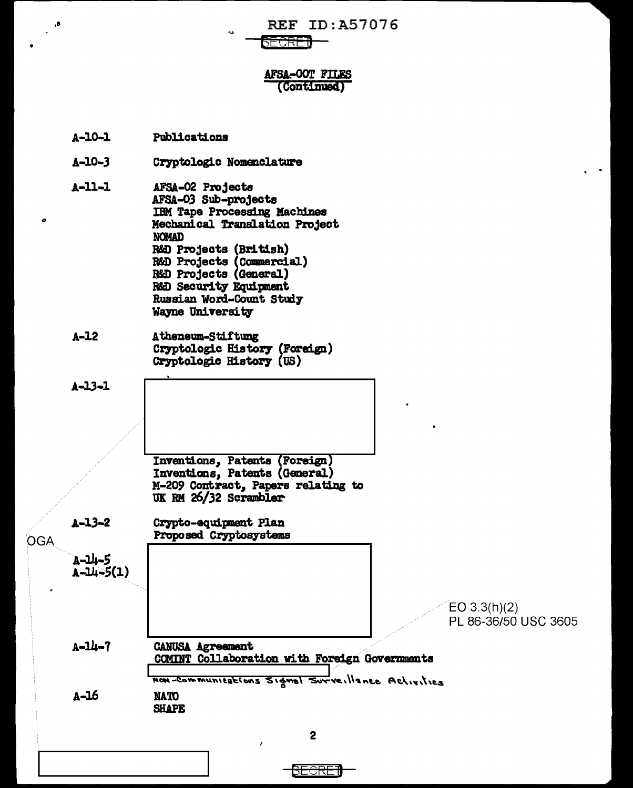**REF ID: A57076** 

<del>\E⊖RF</del>7

## **AFSA-OOT FILES** (Continued)

- $A 10 1$ Publications
- $A 10 3$ Cryptologic Nomenclature
- $A 11 1$ AFSA-02 Projects AFSA-03 Sub-projects **IBM Tape Processing Machines** Mechanical Translation Project **NOMAD** R&D Projects (British) R&D Projects (Commercial)<br>R&D Projects (General) R&D Security Equipment Russian Word-Count Study
- $A-12$ Atheneum-Stiftung Cryptologic History (Foreign) Cryptologic History (US)

Wayne University

 $A - 13 - 1$ 

Inventions, Patents (Foreign) Inventions, Patents (General) M-209 Contract, Papers relating to UK RM 26/32 Scrambler

 $A - 13 - 2$ Crypto-equipment Plan Proposed Cryptosystems **OGA** A-14-5  $A - 14 - 5(1)$ 

> **NATO SHAPE**

 $A-16$ 

 $A - 11 - 7$ **CANUSA Agreement** COMINT Collaboration with Foreign Governments Non-Communications Signal Surveillance Activities

 $EO 3.3(h)(2)$ PL 86-36/50 USC 3605